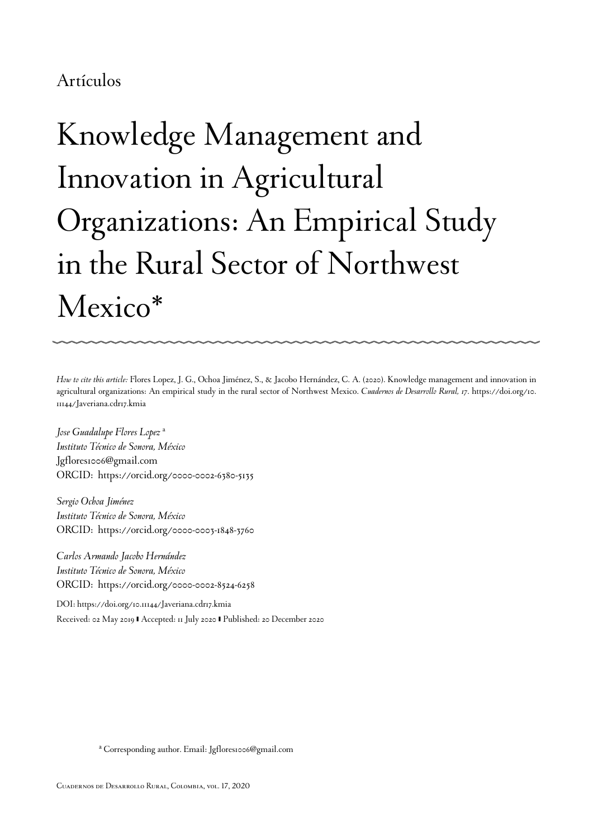### Artículos

# Knowledge Management and Innovation in Agricultural Organizations: An Empirical Study in the Rural Sector of Northwest Mexico[\\*](#page-21-0)

*How to cite this article:* Flores Lopez, J. G., Ochoa Jiménez, S., & Jacobo Hernández, C. A. (2020). Knowledge management and innovation in agricultural organizations: An empirical study in the rural sector of Northwest Mexico. *Cuadernos de Desarrollo Rural, 17*. [https://doi.org/10.](https://doi.org/10.11144/Javeriana.cdr17.kmia) [11144/Javeriana.cdr17.kmia](https://doi.org/10.11144/Javeriana.cdr17.kmia)

*Jose Guadalupe Flores Lopez* [a](#page-0-0) *Instituto Técnico de Sonora, México* Jgflores1006@gmail.com ORCID: [https://orcid.org/0000-0002-6380-5135](http://orcid.org/https://orcid.org/0000-0002-6380-5135)

*Sergio Ochoa Jiménez Instituto Técnico de Sonora, México* ORCID: [https://orcid.org/0000-0003-1848-3760](http://orcid.org/https://orcid.org/0000-0003-1848-3760)

*Carlos Armando Jacobo Hernández Instituto Técnico de Sonora, México* ORCID: [https://orcid.org/0000-0002-8524-6258](http://orcid.org/https://orcid.org/0000-0002-8524-6258)

DOI: [https://doi.org/10.11144/Javeriana.cdr17.kmia](https://doi.org/https://doi.org/10.11144/Javeriana.cdr17.kmia) Received: 02 May 2019 | Accepted: 11 July 2020 | Published: 20 December 2020

<span id="page-0-0"></span>a Corresponding author. Email: Jgflores1006@gmail.com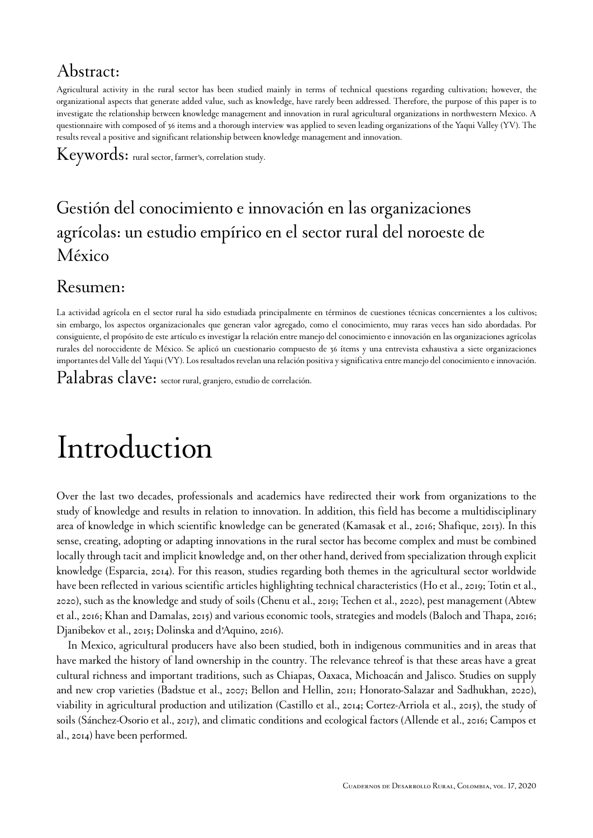### Abstract:

Agricultural activity in the rural sector has been studied mainly in terms of technical questions regarding cultivation; however, the organizational aspects that generate added value, such as knowledge, have rarely been addressed. Therefore, the purpose of this paper is to investigate the relationship between knowledge management and innovation in rural agricultural organizations in northwestern Mexico. A questionnaire with composed of 36 items and a thorough interview was applied to seven leading organizations of the Yaqui Valley (YV). The results reveal a positive and significant relationship between knowledge management and innovation.

Keywords: rural sector, farmer's, correlation study.

### Gestión del conocimiento e innovación en las organizaciones agrícolas: un estudio empírico en el sector rural del noroeste de México

### Resumen:

La actividad agrícola en el sector rural ha sido estudiada principalmente en términos de cuestiones técnicas concernientes a los cultivos; sin embargo, los aspectos organizacionales que generan valor agregado, como el conocimiento, muy raras veces han sido abordadas. Por consiguiente, el propósito de este artículo es investigar la relación entre manejo del conocimiento e innovación en las organizaciones agrícolas rurales del noroccidente de México. Se aplicó un cuestionario compuesto de 36 ítems y una entrevista exhaustiva a siete organizaciones importantes del Valle del Yaqui (VY). Los resultados revelan una relación positiva y significativa entre manejo del conocimiento e innovación.

Palabras clave: sector rural, granjero, estudio de correlación.

# Introduction

Over the last two decades, professionals and academics have redirected their work from organizations to the study of knowledge and results in relation to innovation. In addition, this field has become a multidisciplinary area of knowledge in which scientific knowledge can be generated [\(Kamasak et al., 2016](#page-18-0); [Shafique, 2013](#page-20-0)). In this sense, creating, adopting or adapting innovations in the rural sector has become complex and must be combined locally through tacit and implicit knowledge and, on ther other hand, derived from specialization through explicit knowledge [\(Esparcia, 2014\)](#page-17-0). For this reason, studies regarding both themes in the agricultural sector worldwide have been reflected in various scientific articles highlighting technical characteristics ([Ho et al., 2019;](#page-17-1) [Totin et al.,](#page-20-1) [2020](#page-20-1)), such as the knowledge and study of soils ([Chenu et al., 2019;](#page-16-0) [Techen et al., 2020\)](#page-20-2), pest management [\(Abtew](#page-15-0) [et al., 2016;](#page-15-0) [Khan and Damalas, 2015](#page-18-1)) and various economic tools, strategies and models [\(Baloch and Thapa, 2016;](#page-16-1) [Djanibekov et al., 2015](#page-17-2); [Dolinska and d'Aquino, 2016\)](#page-17-3).

In Mexico, agricultural producers have also been studied, both in indigenous communities and in areas that have marked the history of land ownership in the country. The relevance tehreof is that these areas have a great cultural richness and important traditions, such as Chiapas, Oaxaca, Michoacán and Jalisco. Studies on supply and new crop varieties ([Badstue et al., 2007;](#page-16-2) [Bellon and Hellin, 2011;](#page-16-3) [Honorato-Salazar and Sadhukhan, 2020\)](#page-17-4), viability in agricultural production and utilization [\(Castillo et al., 2014;](#page-16-4) [Cortez-Arriola et al., 2015](#page-16-5)), the study of soils ([Sánchez-Osorio et al., 2017\)](#page-20-3), and climatic conditions and ecological factors ([Allende et al., 2016;](#page-15-1) [Campos et](#page-16-6) [al., 2014\)](#page-16-6) have been performed.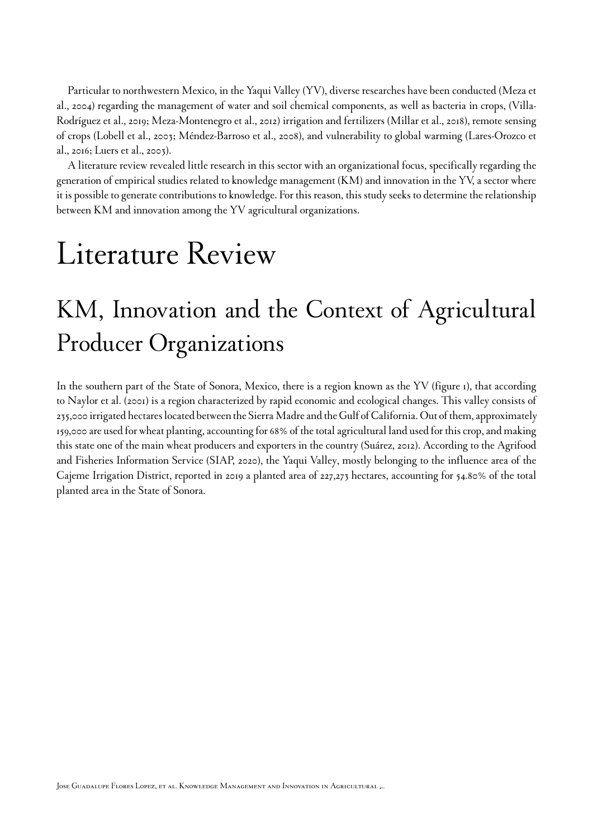Particular to northwestern Mexico, in the Yaqui Valley (YV), diverse researches have been conducted [\(Meza et](#page-18-2) [al., 2004](#page-18-2)) regarding the management of water and soil chemical components, as well as bacteria in crops, [\(Villa-](#page-20-4)[Rodríguez et al., 2019;](#page-20-4) [Meza-Montenegro et al., 2012](#page-18-3)) irrigation and fertilizers [\(Millar et al., 2018](#page-19-0)), remote sensing of crops [\(Lobell et al., 2003;](#page-18-4) [Méndez-Barroso et al., 2008\)](#page-18-5), and vulnerability to global warming [\(Lares-Orozco et](#page-18-6) [al., 2016;](#page-18-6) [Luers et al., 2003](#page-18-7)).

A literature review revealed little research in this sector with an organizational focus, specifically regarding the generation of empirical studies related to knowledge management (KM) and innovation in the YV, a sector where it is possible to generate contributions to knowledge. For this reason, this study seeks to determine the relationship between KM and innovation among the YV agricultural organizations.

# Literature Review

## KM, Innovation and the Context of Agricultural Producer Organizations

In the southern part of the State of Sonora, Mexico, there is a region known as the YV ([figure 1](#page-3-0)), that according to [Naylor et al. \(2001\) i](#page-19-1)s a region characterized by rapid economic and ecological changes. This valley consists of 235,000 irrigated hectares located between the Sierra Madre and the Gulf of California.Out of them, approximately 159,000 are used for wheat planting, accounting for 68% of the total agricultural land used for this crop, and making this state one of the main wheat producers and exporters in the country ([Suárez, 2012\)](#page-20-5). According to the Agrifood and Fisheries Information Service [\(SIAP, 2020](#page-20-6)), the Yaqui Valley, mostly belonging to the influence area of the Cajeme Irrigation District, reported in 2019 a planted area of 227,273 hectares, accounting for 54.80% of the total planted area in the State of Sonora.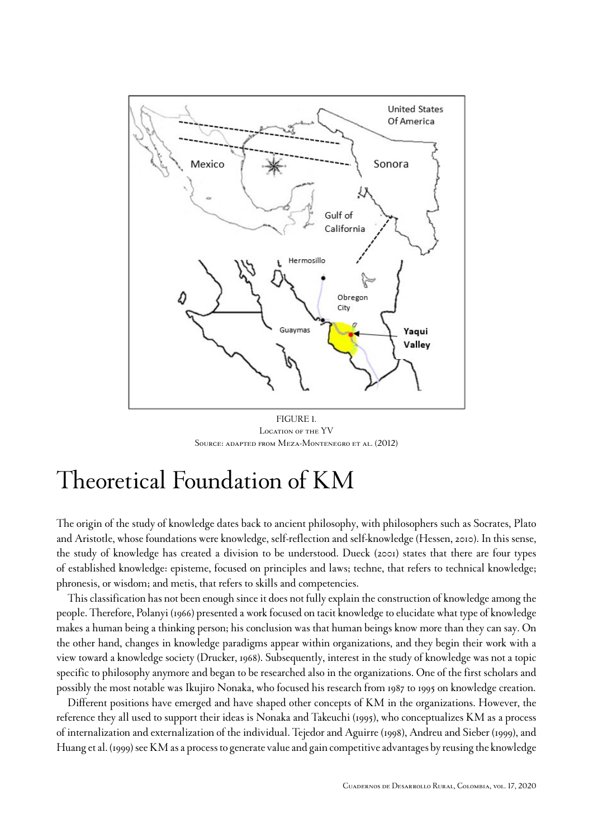<span id="page-3-0"></span>

*FIGURE 1. Location of the YV Source: adapted from [Meza-Montenegro et al. \(2012\)](#page-18-3)*

### Theoretical Foundation of KM

The origin of the study of knowledge dates back to ancient philosophy, with philosophers such as Socrates, Plato and Aristotle, whose foundations were knowledge, self-reflection and self-knowledge ([Hessen, 2010](#page-17-5)). In this sense, the study of knowledge has created a division to be understood[. Dueck \(2001\)](#page-17-6) states that there are four types of established knowledge: episteme, focused on principles and laws; techne, that refers to technical knowledge; phronesis, or wisdom; and metis, that refers to skills and competencies.

This classification has not been enough since it does not fully explain the construction of knowledge among the people. Therefore, [Polanyi \(1966\)](#page-19-2) presented a work focused on tacit knowledge to elucidate what type of knowledge makes a human being a thinking person; his conclusion was that human beings know more than they can say. On the other hand, changes in knowledge paradigms appear within organizations, and they begin their work with a view toward a knowledge society ([Drucker, 1968](#page-17-7)). Subsequently, interest in the study of knowledge was not a topic specific to philosophy anymore and began to be researched also in the organizations. One of the first scholars and possibly the most notable was Ikujiro Nonaka, who focused his research from 1987 to 1995 on knowledge creation.

Different positions have emerged and have shaped other concepts of KM in the organizations. However, the reference they all used to support their ideas is [Nonaka and Takeuchi \(1995\),](#page-19-3) who conceptualizes KM as a process of internalization and externalization of the individual. [Tejedor and Aguirre \(1998\)](#page-20-7), [Andreu and Sieber \(1999\),](#page-16-7) and [Huang et al. \(1999\)](#page-17-8) see KM as a process to generate value and gain competitive advantages by reusing the knowledge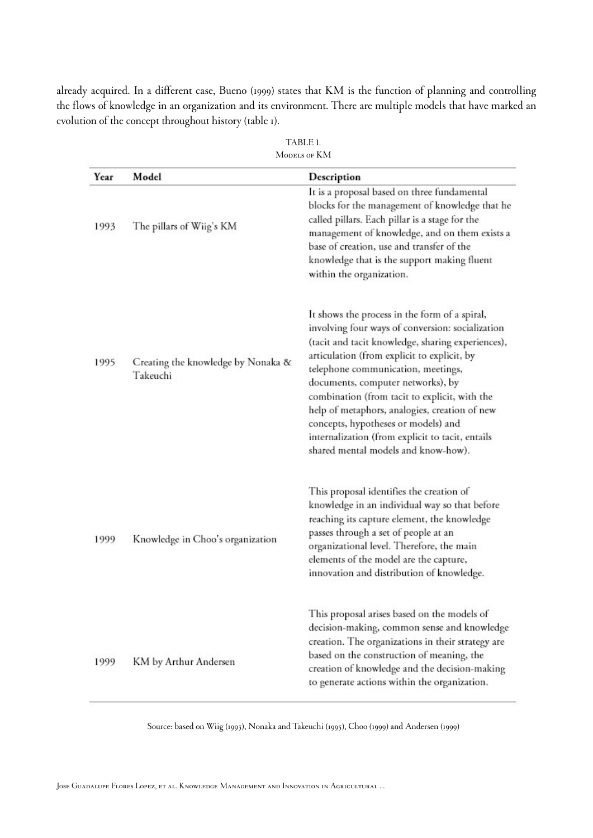<span id="page-4-0"></span>already acquired. In a different case, [Bueno \(1999\)](#page-16-8) states that KM is the function of planning and controlling the flows of knowledge in an organization and its environment. There are multiple models that have marked an evolution of the concept throughout history [\(table 1](#page-4-0)).

| Year | Model                                          | Description                                                                                                                                                                                                                                                                                                                                                                                                                                                                                                          |
|------|------------------------------------------------|----------------------------------------------------------------------------------------------------------------------------------------------------------------------------------------------------------------------------------------------------------------------------------------------------------------------------------------------------------------------------------------------------------------------------------------------------------------------------------------------------------------------|
| 1993 | The pillars of Wiig's KM                       | It is a proposal based on three fundamental<br>blocks for the management of knowledge that he<br>called pillars. Each pillar is a stage for the<br>management of knowledge, and on them exists a<br>base of creation, use and transfer of the<br>knowledge that is the support making fluent<br>within the organization.                                                                                                                                                                                             |
| 1995 | Creating the knowledge by Nonaka &<br>Takeuchi | It shows the process in the form of a spiral,<br>involving four ways of conversion: socialization<br>(tacit and tacit knowledge, sharing experiences),<br>articulation (from explicit to explicit, by<br>telephone communication, meetings,<br>documents, computer networks), by<br>combination (from tacit to explicit, with the<br>help of metaphors, analogies, creation of new<br>concepts, hypotheses or models) and<br>internalization (from explicit to tacit, entails<br>shared mental models and know-how). |
| 1999 | Knowledge in Choo's organization               | This proposal identifies the creation of<br>knowledge in an individual way so that before<br>reaching its capture element, the knowledge<br>passes through a set of people at an<br>organizational level. Therefore, the main<br>elements of the model are the capture,<br>innovation and distribution of knowledge.                                                                                                                                                                                                 |
| 1999 | KM by Arthur Andersen                          | This proposal arises based on the models of<br>decision-making, common sense and knowledge<br>creation. The organizations in their strategy are<br>based on the construction of meaning, the<br>creation of knowledge and the decision-making<br>to generate actions within the organization.                                                                                                                                                                                                                        |

| TABLE 1.     |  |
|--------------|--|
| MODELS OF KM |  |

Source: based on [Wiig \(1993\)](#page-21-1), [Nonaka and Takeuchi \(1995\),](#page-19-3) [Choo \(1999\)](#page-16-9) and [Andersen \(1999\)](#page-16-10)

*Jose Guadalupe Flores Lopez, et al. Knowledge Management and Innovation in Agricultural ...*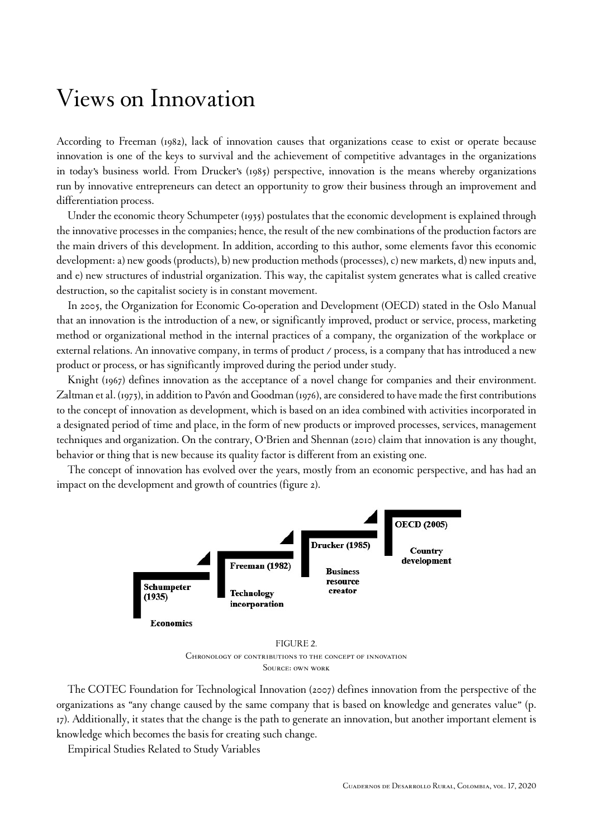### Views on Innovation

According to [Freeman \(1982\)](#page-17-9), lack of innovation causes that organizations cease to exist or operate because innovation is one of the keys to survival and the achievement of competitive advantages in the organizations in today's business world. From [Drucker's \(1985\)](#page-17-10) perspective, innovation is the means whereby organizations run by innovative entrepreneurs can detect an opportunity to grow their business through an improvement and differentiation process.

Under the economic theory [Schumpeter \(1935\)](#page-20-8) postulates that the economic development is explained through the innovative processes in the companies; hence, the result of the new combinations of the production factors are the main drivers of this development. In addition, according to this author, some elements favor this economic development: a) new goods (products), b) new production methods (processes), c) new markets, d) new inputs and, and e) new structures of industrial organization. This way, the capitalist system generates what is called creative destruction, so the capitalist society is in constant movement.

In 2005, the Organization for Economic Co-operation and Development (OECD) stated in the Oslo Manual that an innovation is the introduction of a new, or significantly improved, product or service, process, marketing method or organizational method in the internal practices of a company, the organization of the workplace or external relations. An innovative company, in terms of product / process, is a company that has introduced a new product or process, or has significantly improved during the period under study.

[Knight \(1967\)](#page-18-8) defines innovation as the acceptance of a novel change for companies and their environment. [Zaltman et al. \(1973\)](#page-21-2), in addition to [Pavón and Goodman \(1976\),](#page-19-4) are considered to have made the first contributions to the concept of innovation as development, which is based on an idea combined with activities incorporated in a designated period of time and place, in the form of new products or improved processes, services, management techniques and organization. On the contrary, [O'Brien and Shennan \(2010\)](#page-19-5) claim that innovation is any thought, behavior or thing that is new because its quality factor is different from an existing one.

<span id="page-5-0"></span>The concept of innovation has evolved over the years, mostly from an economic perspective, and has had an impact on the development and growth of countries ([figure 2](#page-5-0)).



*FIGURE 2. Chronology of contributions to the concept of innovation Source: own work*

[The COTEC Foundation for Technological Innovation \(2007\)](#page-17-11) defines innovation from the perspective of the organizations as "any change caused by the same company that is based on knowledge and generates value" (p. 17). Additionally, it states that the change is the path to generate an innovation, but another important element is knowledge which becomes the basis for creating such change.

Empirical Studies Related to Study Variables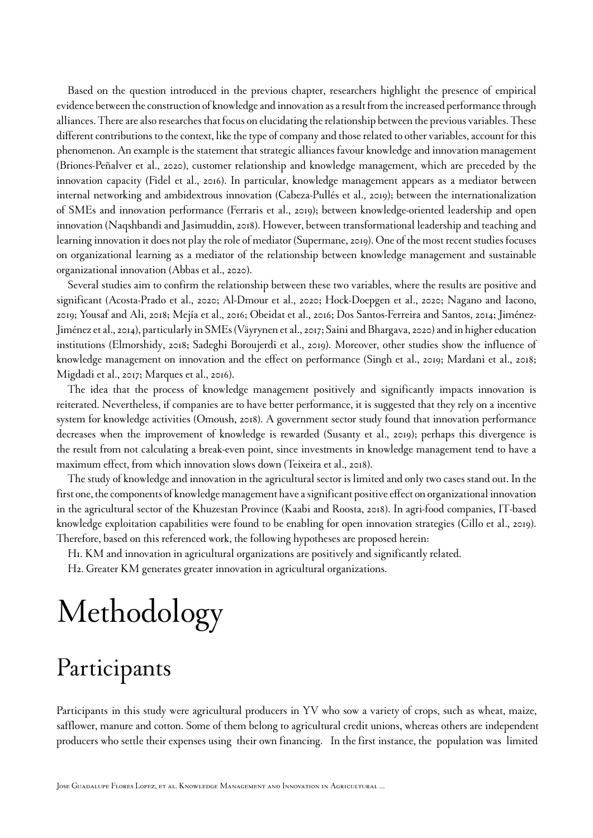Based on the question introduced in the previous chapter, researchers highlight the presence of empirical evidence between the construction of knowledge and innovation as a result from the increased performance through alliances. There are also researches that focus on elucidating the relationship between the previous variables. These different contributions to the context, like the type of company and those related to other variables, account for this phenomenon. An example is the statement that strategic alliances favour knowledge and innovation management ([Briones-Peñalver et al., 2020\)](#page-16-11), customer relationship and knowledge management, which are preceded by the innovation capacity [\(Fidel et al., 2016\)](#page-17-12). In particular, knowledge management appears as a mediator between internal networking and ambidextrous innovation ([Cabeza-Pullés et al., 2019\)](#page-16-12); between the internationalization of SMEs and innovation performance [\(Ferraris et al., 2019\)](#page-17-13); between knowledge-oriented leadership and open innovation ([Naqshbandi and Jasimuddin, 2018\)](#page-19-6). However, between transformational leadership and teaching and learning innovation it does not play the role of mediator [\(Supermane, 2019](#page-20-9)). One of the most recent studies focuses on organizational learning as a mediator of the relationship between knowledge management and sustainable organizational innovation ([Abbas et al., 2020](#page-15-2)).

Several studies aim to confirm the relationship between these two variables, where the results are positive and significant [\(Acosta-Prado et al., 2020](#page-15-3); [Al-Dmour et al., 2020](#page-15-4); [Hock-Doepgen et al., 2020;](#page-17-14) [Nagano and Iacono,](#page-19-7) [2019](#page-19-7); [Yousaf and Ali, 2018;](#page-21-3) [Mejía et al., 2016;](#page-18-9) [Obeidat et al., 2016;](#page-19-8) [Dos Santos-Ferreira and Santos, 2014](#page-17-15); [Jiménez-](#page-17-16)[Jiménez et al., 2014\)](#page-17-16), particularly in SMEs [\(Väyrynen et al., 2017;](#page-20-10) [Saini and Bhargava, 2020](#page-20-11)) and in higher education institutions ([Elmorshidy, 2018](#page-17-17); [Sadeghi Boroujerdi et al., 2019\)](#page-19-9). Moreover, other studies show the influence of knowledge management on innovation and the effect on performance [\(Singh et al., 2019;](#page-20-12) [Mardani et al., 2018;](#page-18-10) [Migdadi et al., 2017](#page-19-10); [Marques et al., 2016\)](#page-18-11).

The idea that the process of knowledge management positively and significantly impacts innovation is reiterated. Nevertheless, if companies are to have better performance, it is suggested that they rely on a incentive system for knowledge activities [\(Omoush, 2018](#page-19-11)). A government sector study found that innovation performance decreases when the improvement of knowledge is rewarded [\(Susanty et al., 2019\)](#page-20-13); perhaps this divergence is the result from not calculating a break-even point, since investments in knowledge management tend to have a maximum effect, from which innovation slows down [\(Teixeira et al., 2018\)](#page-20-14).

The study of knowledge and innovation in the agricultural sector is limited and only two cases stand out. In the first one, the components of knowledge management have a significant positive effect on organizational innovation in the agricultural sector of the Khuzestan Province ([Kaabi and Roosta, 2018](#page-18-12)). In agri-food companies, IT-based knowledge exploitation capabilities were found to be enabling for open innovation strategies ([Cillo et al., 2019\)](#page-16-13). Therefore, based on this referenced work, the following hypotheses are proposed herein:

H1. KM and innovation in agricultural organizations are positively and significantly related.

H2. Greater KM generates greater innovation in agricultural organizations.

# Methodology

## Participants

Participants in this study were agricultural producers in YV who sow a variety of crops, such as wheat, maize, safflower, manure and cotton. Some of them belong to agricultural credit unions, whereas others are independent producers who settle their expenses using their own financing. In the first instance, the population was limited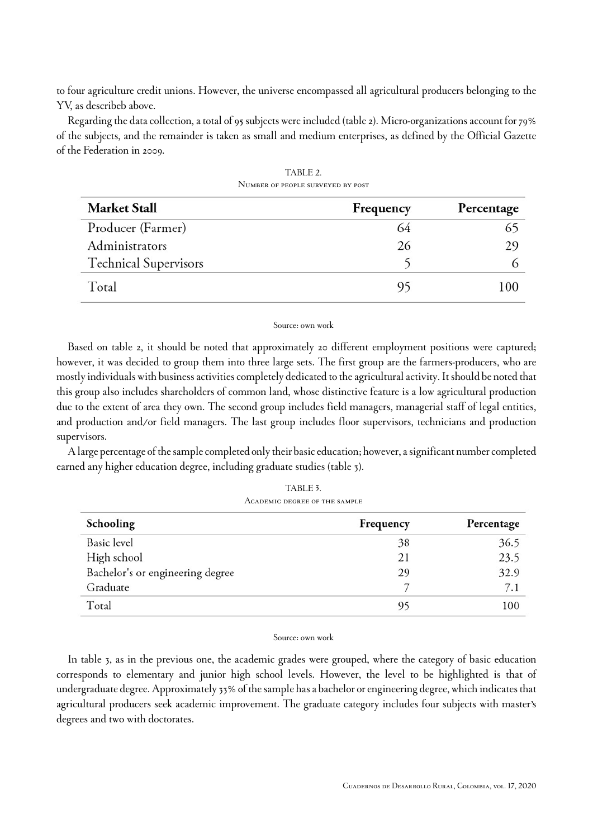to four agriculture credit unions. However, the universe encompassed all agricultural producers belonging to the YV, as describeb above.

Regarding the data collection, a total of 95 subjects were included [\(table 2](#page-7-0)). Micro-organizations account for 79% of the subjects, and the remainder is taken as small and medium enterprises, as defined by the Official Gazette of the Federation in 2009.

<span id="page-7-0"></span>

| <b>Market Stall</b>          | Frequency | Percentage |
|------------------------------|-----------|------------|
| Producer (Farmer)            | 64        | 65         |
| Administrators               | 26        | 29         |
| <b>Technical Supervisors</b> |           |            |
| Total                        | 95        | 100        |

*TABLE 2. Number of people surveyed by post*

#### Source: own work

Based on [table 2](#page-7-0), it should be noted that approximately 20 different employment positions were captured; however, it was decided to group them into three large sets. The first group are the farmers-producers, who are mostly individuals with business activities completely dedicated to the agricultural activity. It should be noted that this group also includes shareholders of common land, whose distinctive feature is a low agricultural production due to the extent of area they own. The second group includes field managers, managerial staff of legal entities, and production and/or field managers. The last group includes floor supervisors, technicians and production supervisors.

<span id="page-7-1"></span>A large percentage of the sample completed only their basic education; however, a significant number completed earned any higher education degree, including graduate studies [\(table 3\)](#page-7-1).

| Schooling                        | Frequency | Percentage |
|----------------------------------|-----------|------------|
| <b>Basic</b> level               | 38        | 36.5       |
| High school                      | 21        | 23.5       |
| Bachelor's or engineering degree | 29        | 32.9       |
| Graduate                         |           | 7.1        |
| Total                            | 95        | 100        |

*TABLE 3. Academic degree of the sample*

#### Source: own work

In [table 3,](#page-7-1) as in the previous one, the academic grades were grouped, where the category of basic education corresponds to elementary and junior high school levels. However, the level to be highlighted is that of undergraduate degree. Approximately 33% of the sample has a bachelor or engineering degree, which indicates that agricultural producers seek academic improvement. The graduate category includes four subjects with master's degrees and two with doctorates.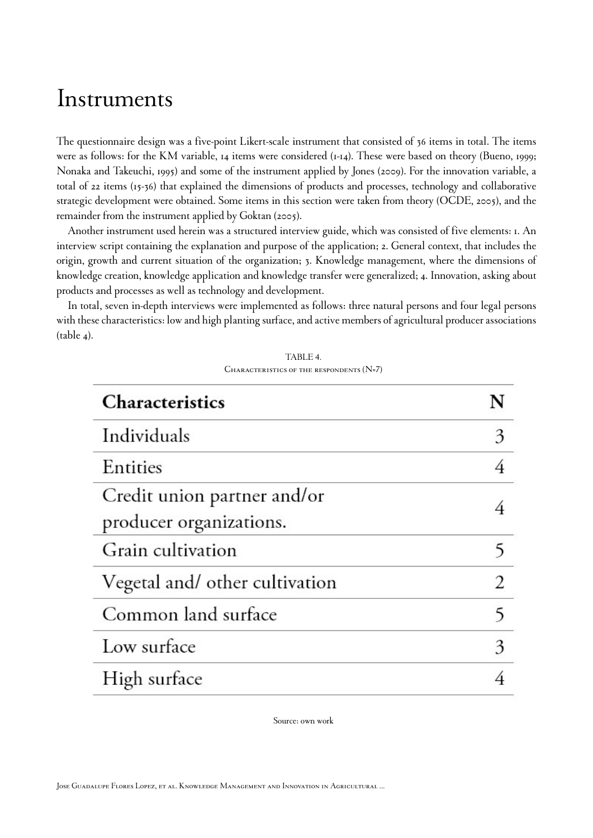### Instruments

The questionnaire design was a five-point Likert-scale instrument that consisted of 36 items in total. The items were as follows: for the KM variable, 14 items were considered (1-14). These were based on theory ([Bueno, 1999;](#page-16-8) [Nonaka and Takeuchi, 1995](#page-19-3)) and some of the instrument applied by [Jones \(2009\)](#page-18-13). For the innovation variable, a total of 22 items (15-36) that explained the dimensions of products and processes, technology and collaborative strategic development were obtained. Some items in this section were taken from theory ([OCDE, 2005\)](#page-19-12), and the remainder from the instrument applied by [Goktan \(2005\).](#page-17-18)

Another instrument used herein was a structured interview guide, which was consisted of five elements: 1. An interview script containing the explanation and purpose of the application; 2. General context, that includes the origin, growth and current situation of the organization; 3. Knowledge management, where the dimensions of knowledge creation, knowledge application and knowledge transfer were generalized; 4. Innovation, asking about products and processes as well as technology and development.

<span id="page-8-0"></span>In total, seven in-depth interviews were implemented as follows: three natural persons and four legal persons with these characteristics: low and high planting surface, and active members of agricultural producer associations  $(table 4).$  $(table 4).$  $(table 4).$ 

| TABLE 4.                                   |
|--------------------------------------------|
| CHARACTERISTICS OF THE RESPONDENTS $(N=7)$ |

| <b>Characteristics</b>                                 |   |
|--------------------------------------------------------|---|
| Individuals                                            | 3 |
| Entities                                               | 4 |
| Credit union partner and/or<br>producer organizations. |   |
| Grain cultivation                                      |   |
| Vegetal and/ other cultivation                         | 2 |
| Common land surface                                    | 5 |
| Low surface                                            | 3 |
| High surface                                           |   |

Source: own work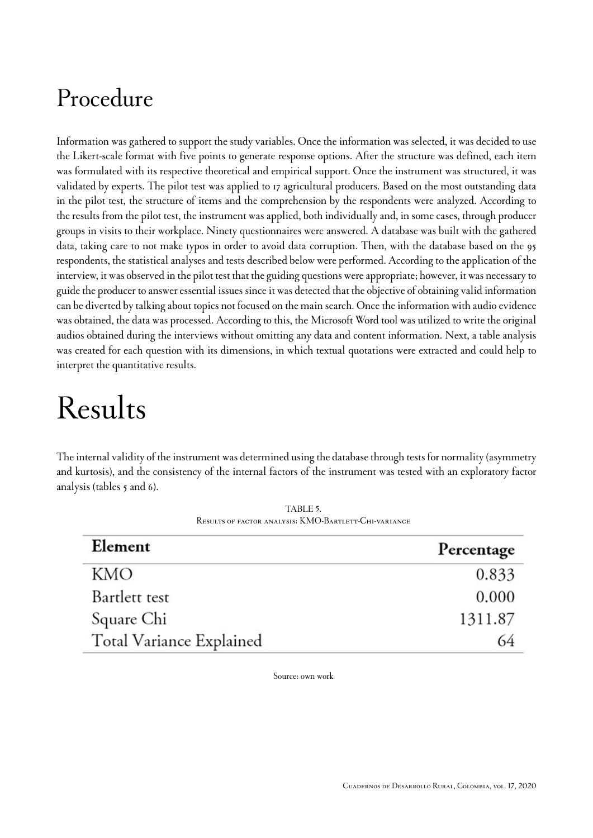## Procedure

Information was gathered to support the study variables. Once the information was selected, it was decided to use the Likert-scale format with five points to generate response options. After the structure was defined, each item was formulated with its respective theoretical and empirical support. Once the instrument was structured, it was validated by experts. The pilot test was applied to 17 agricultural producers. Based on the most outstanding data in the pilot test, the structure of items and the comprehension by the respondents were analyzed. According to the results from the pilot test, the instrument was applied, both individually and, in some cases, through producer groups in visits to their workplace. Ninety questionnaires were answered. A database was built with the gathered data, taking care to not make typos in order to avoid data corruption. Then, with the database based on the 95 respondents, the statistical analyses and tests described below were performed. According to the application of the interview, it was observed in the pilot test that the guiding questions were appropriate; however, it was necessary to guide the producer to answer essential issues since it was detected that the objective of obtaining valid information can be diverted by talking about topics not focused on the main search. Once the information with audio evidence was obtained, the data was processed. According to this, the Microsoft Word tool was utilized to write the original audios obtained during the interviews without omitting any data and content information. Next, a table analysis was created for each question with its dimensions, in which textual quotations were extracted and could help to interpret the quantitative results.

# Results

<span id="page-9-0"></span>The internal validity of the instrument was determined using the database through tests for normality (asymmetry and kurtosis), and the consistency of the internal factors of the instrument was tested with an exploratory factor analysis [\(tables 5](#page-9-0) and [6\)](#page-10-0).

| Element                  | Percentage |  |  |
|--------------------------|------------|--|--|
| KMO                      | 0.833      |  |  |
| Bartlett test            | 0.000      |  |  |
| Square Chi               | 1311.87    |  |  |
| Total Variance Explained | 64         |  |  |

*TABLE 5. Results of factor analysis: KMO-Bartlett-Chi-variance*

Source: own work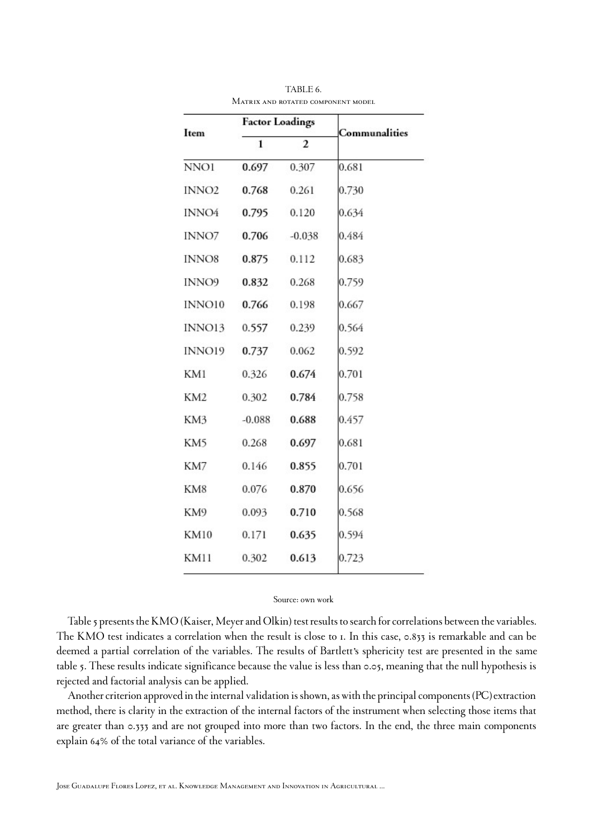<span id="page-10-0"></span>

| Item              | <b>Factor Loadings</b> |          | Communalities |  |  |
|-------------------|------------------------|----------|---------------|--|--|
|                   | 1                      | 2        |               |  |  |
| NNO1              | 0.697                  | 0.307    | 0.681         |  |  |
| INNO <sub>2</sub> | 0.768                  | 0.261    | 0.730         |  |  |
| INNO4             | 0.795                  | 0.120    | 0.634         |  |  |
| INNO7             | 0.706                  | $-0.038$ | 0.484         |  |  |
| INNO8             | 0.875                  | 0.112    | 0.683         |  |  |
| INNO9             | 0.832                  | 0.268    | 0.759         |  |  |
| INNO10            | 0.766                  | 0.198    | 0.667         |  |  |
| INNO13            | 0.557                  | 0.239    | 0.564         |  |  |
| INNO19            | 0.737                  | 0.062    | 0.592         |  |  |
| KM1               | 0.326                  | 0.674    | 0.701         |  |  |
| KM <sub>2</sub>   | 0.302                  | 0.784    | 0.758         |  |  |
| KM3               | $-0.088$               | 0.688    | 0.457         |  |  |
| KM5               | 0.268                  | 0.697    | 0.681         |  |  |
| KM7               | 0.146                  | 0.855    | 0.701         |  |  |
| KM8               | 0.076                  | 0.870    | 0.656         |  |  |
| KM9               | 0.093                  | 0.710    | 0.568         |  |  |
| <b>KM10</b>       | 0.171                  | 0.635    | 0.594         |  |  |
| KM11              | 0.302                  | 0.613    | 0.723         |  |  |
|                   |                        |          |               |  |  |

*TABLE 6. Matrix and rotated component model*

#### Source: own work

[Table 5](#page-9-0) presents the KMO (Kaiser, Meyer and Olkin) test results to search for correlations between the variables. The KMO test indicates a correlation when the result is close to 1. In this case, 0.833 is remarkable and can be deemed a partial correlation of the variables. The results of Bartlett's sphericity test are presented in the same [table 5](#page-9-0). These results indicate significance because the value is less than 0.05, meaning that the null hypothesis is rejected and factorial analysis can be applied.

Another criterion approved in the internal validation is shown, as with the principal components (PC)extraction method, there is clarity in the extraction of the internal factors of the instrument when selecting those items that are greater than 0.333 and are not grouped into more than two factors. In the end, the three main components explain 64% of the total variance of the variables.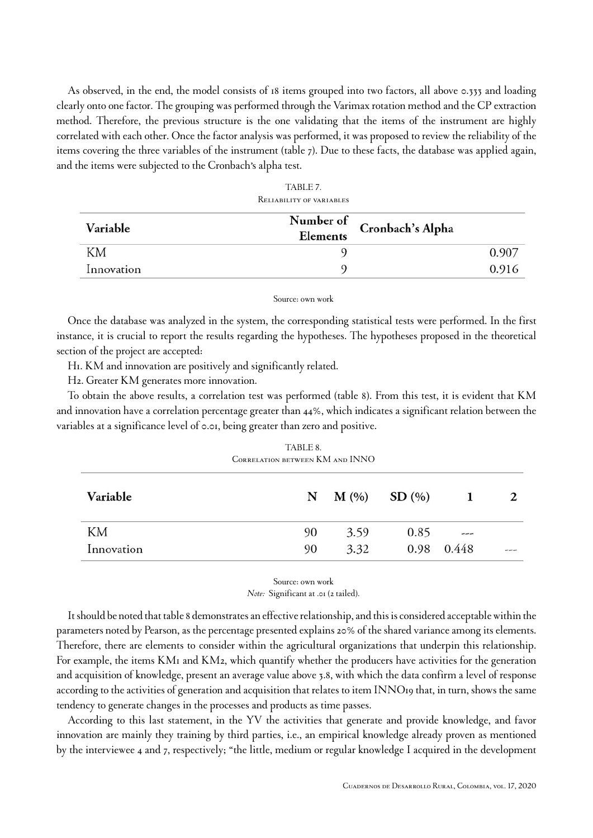As observed, in the end, the model consists of 18 items grouped into two factors, all above 0.333 and loading clearly onto one factor. The grouping was performed through the Varimax rotation method and the CP extraction method. Therefore, the previous structure is the one validating that the items of the instrument are highly correlated with each other. Once the factor analysis was performed, it was proposed to review the reliability of the items covering the three variables of the instrument [\(table 7](#page-11-0)). Due to these facts, the database was applied again, and the items were subjected to the Cronbach's alpha test.

<span id="page-11-0"></span>

| <b>IVELIADILI LI VE VANTADLEJ</b> |                            |
|-----------------------------------|----------------------------|
| Elements                          |                            |
|                                   | 0.907                      |
|                                   | 0.916                      |
|                                   | Number of Cronbach's Alpha |

*TABLE 7. Reliability of variables*

#### Source: own work

Once the database was analyzed in the system, the corresponding statistical tests were performed. In the first instance, it is crucial to report the results regarding the hypotheses. The hypotheses proposed in the theoretical section of the project are accepted:

H1. KM and innovation are positively and significantly related.

H2. Greater KM generates more innovation.

<span id="page-11-1"></span>To obtain the above results, a correlation test was performed ([table 8\)](#page-11-1). From this test, it is evident that KM and innovation have a correlation percentage greater than 44%, which indicates a significant relation between the variables at a significance level of 0.01, being greater than zero and positive.

| TABLE 8                                |  |
|----------------------------------------|--|
| <b>CORRELATION BETWEEN KM AND INNO</b> |  |
|                                        |  |

| Variable   | N  | $M(\%)$ SD $(\%)$ |      |            |      |
|------------|----|-------------------|------|------------|------|
| KМ         | 90 | 3.59              | 0.85 | ---        |      |
| Innovation | 90 | 3.32              |      | 0.98 0.448 | ---- |

#### Source: own work *Note:* Significant at .01 (2 tailed).

It should be noted that [table 8](#page-11-1) demonstrates an effective relationship, and this is considered acceptable within the parameters noted by Pearson, as the percentage presented explains 20% of the shared variance among its elements. Therefore, there are elements to consider within the agricultural organizations that underpin this relationship. For example, the items KM1 and KM2, which quantify whether the producers have activities for the generation and acquisition of knowledge, present an average value above 3.8, with which the data confirm a level of response according to the activities of generation and acquisition that relates to item INNO19 that, in turn, shows the same tendency to generate changes in the processes and products as time passes.

According to this last statement, in the YV the activities that generate and provide knowledge, and favor innovation are mainly they training by third parties, i.e., an empirical knowledge already proven as mentioned by the interviewee 4 and 7, respectively; "the little, medium or regular knowledge I acquired in the development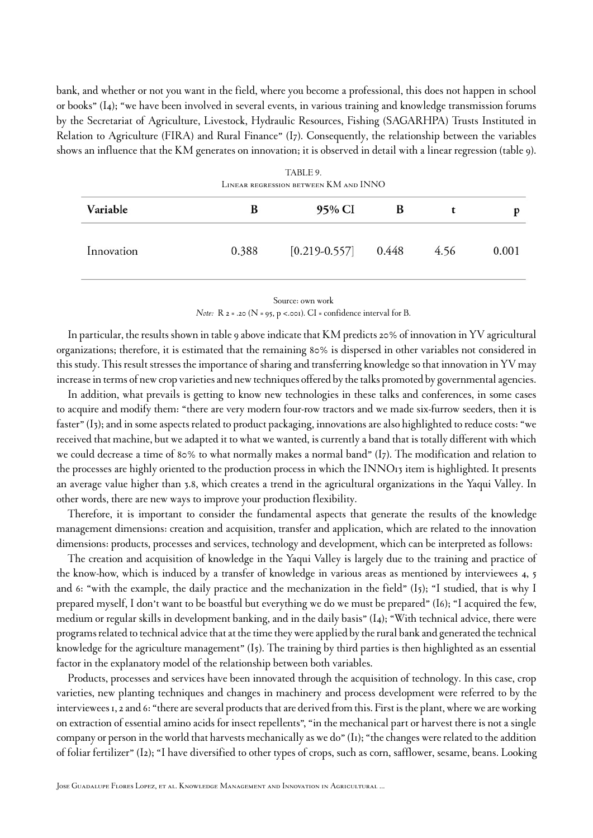bank, and whether or not you want in the field, where you become a professional, this does not happen in school or books" (I4); "we have been involved in several events, in various training and knowledge transmission forums by the Secretariat of Agriculture, Livestock, Hydraulic Resources, Fishing (SAGARHPA) Trusts Instituted in Relation to Agriculture (FIRA) and Rural Finance" (I7). Consequently, the relationship between the variables shows an influence that the KM generates on innovation; it is observed in detail with a linear regression ([table 9\)](#page-12-0).

<span id="page-12-0"></span>

| TABLE 9.<br>LINEAR REGRESSION BETWEEN KM AND INNO |       |                         |   |      |       |  |  |
|---------------------------------------------------|-------|-------------------------|---|------|-------|--|--|
| Variable                                          | B     | 95% CI                  | В |      |       |  |  |
| Innovation                                        | 0.388 | $[0.219 - 0.557]$ 0.448 |   | 4.56 | 0.001 |  |  |

Source: own work *Note:* R 2 = .20 (N = 95, p <.001). CI = confidence interval for B.

In particular, the results shown in [table 9](#page-12-0) above indicate that KM predicts 20% of innovation in YV agricultural organizations; therefore, it is estimated that the remaining 80% is dispersed in other variables not considered in this study. This result stresses the importance of sharing and transferring knowledge so that innovation in YV may increase in terms of new crop varieties and new techniques offered by the talks promoted by governmental agencies.

In addition, what prevails is getting to know new technologies in these talks and conferences, in some cases to acquire and modify them: "there are very modern four-row tractors and we made six-furrow seeders, then it is faster" (I3); and in some aspects related to product packaging, innovations are also highlighted to reduce costs: "we received that machine, but we adapted it to what we wanted, is currently a band that is totally different with which we could decrease a time of 80% to what normally makes a normal band" (I7). The modification and relation to the processes are highly oriented to the production process in which the INNO13 item is highlighted. It presents an average value higher than 3.8, which creates a trend in the agricultural organizations in the Yaqui Valley. In other words, there are new ways to improve your production flexibility.

Therefore, it is important to consider the fundamental aspects that generate the results of the knowledge management dimensions: creation and acquisition, transfer and application, which are related to the innovation dimensions: products, processes and services, technology and development, which can be interpreted as follows:

The creation and acquisition of knowledge in the Yaqui Valley is largely due to the training and practice of the know-how, which is induced by a transfer of knowledge in various areas as mentioned by interviewees 4, 5 and 6: "with the example, the daily practice and the mechanization in the field"  $(I_5)$ ; "I studied, that is why I prepared myself, I don't want to be boastful but everything we do we must be prepared" (I6); "I acquired the few, medium or regular skills in development banking, and in the daily basis" (I4); "With technical advice, there were programs related to technical advice that at the time they were applied by the rural bank and generated the technical knowledge for the agriculture management" (I5). The training by third parties is then highlighted as an essential factor in the explanatory model of the relationship between both variables.

Products, processes and services have been innovated through the acquisition of technology. In this case, crop varieties, new planting techniques and changes in machinery and process development were referred to by the interviewees 1, 2 and 6: "there are several products that are derived from this. First is the plant, where we are working on extraction of essential amino acids for insect repellents", "in the mechanical part or harvest there is not a single company or person in the world that harvests mechanically as we do" (I1); "the changes were related to the addition of foliar fertilizer" (I2); "I have diversified to other types of crops, such as corn, safflower, sesame, beans. Looking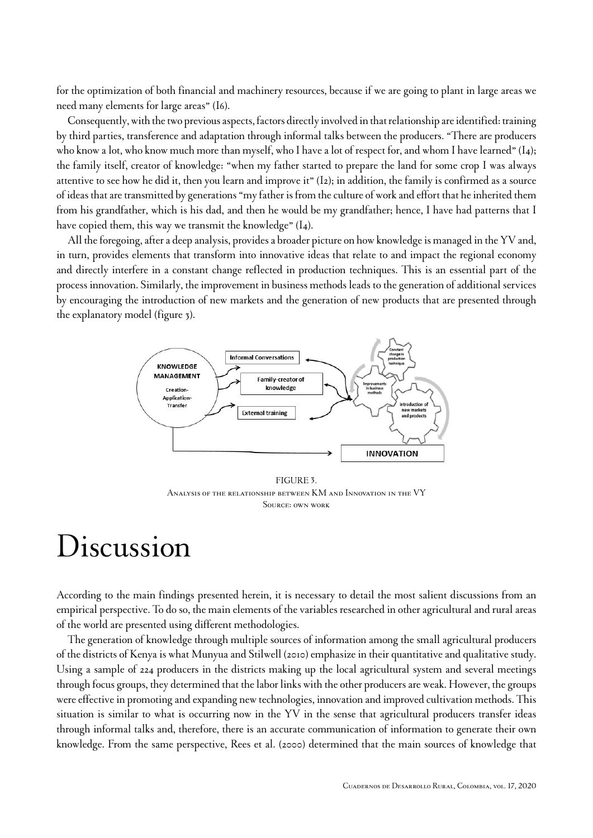for the optimization of both financial and machinery resources, because if we are going to plant in large areas we need many elements for large areas" (I6).

Consequently, with the two previous aspects, factors directly involved in that relationship are identified: training by third parties, transference and adaptation through informal talks between the producers. "There are producers who know a lot, who know much more than myself, who I have a lot of respect for, and whom I have learned" (I4); the family itself, creator of knowledge: "when my father started to prepare the land for some crop I was always attentive to see how he did it, then you learn and improve it" (I2); in addition, the family is confirmed as a source of ideas that are transmitted by generations "my father is from the culture of work and effort that he inherited them from his grandfather, which is his dad, and then he would be my grandfather; hence, I have had patterns that I have copied them, this way we transmit the knowledge" (I4).

All the foregoing, after a deep analysis, provides a broader picture on how knowledge is managed in the YV and, in turn, provides elements that transform into innovative ideas that relate to and impact the regional economy and directly interfere in a constant change reflected in production techniques. This is an essential part of the process innovation. Similarly, the improvement in business methods leads to the generation of additional services by encouraging the introduction of new markets and the generation of new products that are presented through the explanatory model [\(figure 3](#page-13-0)).

<span id="page-13-0"></span>

#### *FIGURE 3.*

*Analysis of the relationship between KM and Innovation in the VY Source: own work*

## Discussion

According to the main findings presented herein, it is necessary to detail the most salient discussions from an empirical perspective. To do so, the main elements of the variables researched in other agricultural and rural areas of the world are presented using different methodologies.

The generation of knowledge through multiple sources of information among the small agricultural producers of the districts of Kenya is what [Munyua and Stilwell \(2010\)](#page-19-13) emphasize in their quantitative and qualitative study. Using a sample of 224 producers in the districts making up the local agricultural system and several meetings through focus groups, they determined that the labor links with the other producers are weak. However, the groups were effective in promoting and expanding new technologies, innovation and improved cultivation methods. This situation is similar to what is occurring now in the YV in the sense that agricultural producers transfer ideas through informal talks and, therefore, there is an accurate communication of information to generate their own knowledge. From the same perspective, [Rees et al. \(2000\)](#page-19-14) determined that the main sources of knowledge that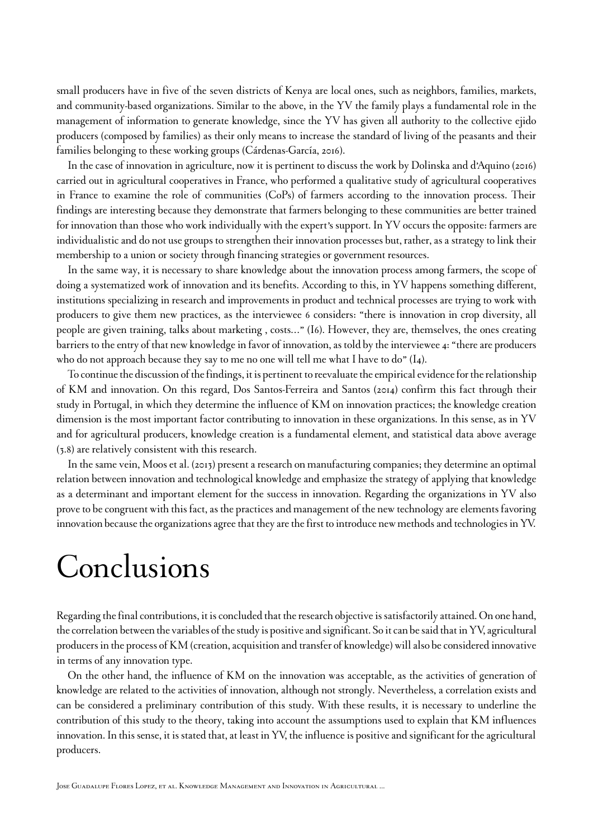small producers have in five of the seven districts of Kenya are local ones, such as neighbors, families, markets, and community-based organizations. Similar to the above, in the YV the family plays a fundamental role in the management of information to generate knowledge, since the YV has given all authority to the collective ejido producers (composed by families) as their only means to increase the standard of living of the peasants and their families belonging to these working groups [\(Cárdenas-García, 2016\)](#page-16-14).

In the case of innovation in agriculture, now it is pertinent to discuss the work by [Dolinska and d'Aquino \(2016\)](#page-17-3) carried out in agricultural cooperatives in France, who performed a qualitative study of agricultural cooperatives in France to examine the role of communities (CoPs) of farmers according to the innovation process. Their findings are interesting because they demonstrate that farmers belonging to these communities are better trained for innovation than those who work individually with the expert's support. In YV occurs the opposite: farmers are individualistic and do not use groups to strengthen their innovation processes but, rather, as a strategy to link their membership to a union or society through financing strategies or government resources.

In the same way, it is necessary to share knowledge about the innovation process among farmers, the scope of doing a systematized work of innovation and its benefits. According to this, in YV happens something different, institutions specializing in research and improvements in product and technical processes are trying to work with producers to give them new practices, as the interviewee 6 considers: "there is innovation in crop diversity, all people are given training, talks about marketing , costs…" (I6). However, they are, themselves, the ones creating barriers to the entry of that new knowledge in favor of innovation, as told by the interviewee 4: "there are producers who do not approach because they say to me no one will tell me what I have to do" (I4).

To continue the discussion of the findings, it is pertinent to reevaluate the empirical evidence for the relationship of KM and innovation. On this regard, [Dos Santos-Ferreira](#page-17-15) and Santos (2014) confirm this fact through their study in Portugal, in which they determine the influence of KM on innovation practices; the knowledge creation dimension is the most important factor contributing to innovation in these organizations. In this sense, as in YV and for agricultural producers, knowledge creation is a fundamental element, and statistical data above average (3.8) are relatively consistent with this research.

In the same vein, [Moos et al. \(2013\)](#page-19-15) present a research on manufacturing companies; they determine an optimal relation between innovation and technological knowledge and emphasize the strategy of applying that knowledge as a determinant and important element for the success in innovation. Regarding the organizations in YV also prove to be congruent with this fact, as the practices and management of the new technology are elements favoring innovation because the organizations agree that they are the first to introduce new methods and technologies in YV.

# Conclusions

Regarding the final contributions, it is concluded that the research objective is satisfactorily attained. On one hand, the correlation between the variables of the study is positive and significant. So it can be said that in YV, agricultural producers in the process of KM (creation, acquisition and transfer of knowledge) will also be considered innovative in terms of any innovation type.

On the other hand, the influence of KM on the innovation was acceptable, as the activities of generation of knowledge are related to the activities of innovation, although not strongly. Nevertheless, a correlation exists and can be considered a preliminary contribution of this study. With these results, it is necessary to underline the contribution of this study to the theory, taking into account the assumptions used to explain that KM influences innovation. In this sense, it is stated that, at least in YV, the influence is positive and significant for the agricultural producers.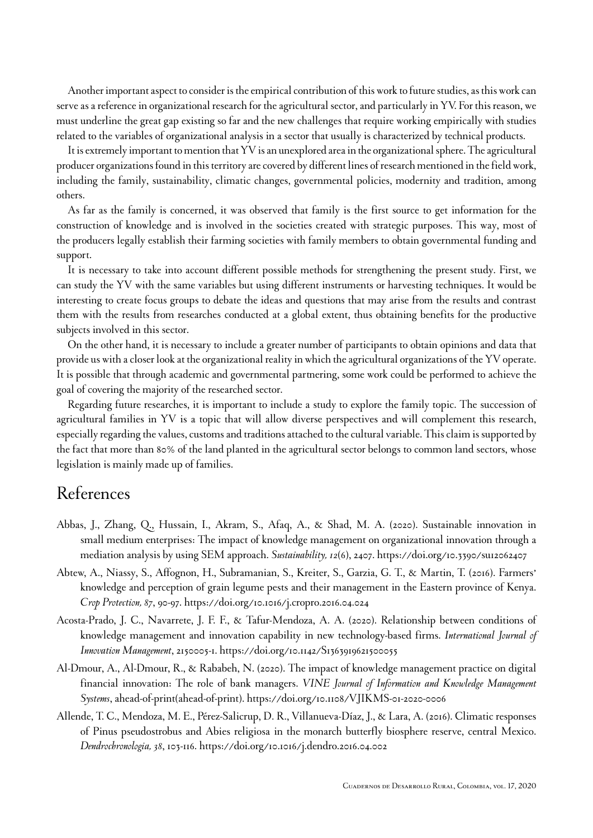Another important aspect to consider is the empirical contribution of this work to future studies, as this work can serve as a reference in organizational research for the agricultural sector, and particularly in YV. For this reason, we must underline the great gap existing so far and the new challenges that require working empirically with studies related to the variables of organizational analysis in a sector that usually is characterized by technical products.

It is extremely important to mention that YV is an unexplored area in the organizational sphere. The agricultural producer organizations found in this territory are covered by different lines of research mentioned in the field work, including the family, sustainability, climatic changes, governmental policies, modernity and tradition, among others.

As far as the family is concerned, it was observed that family is the first source to get information for the construction of knowledge and is involved in the societies created with strategic purposes. This way, most of the producers legally establish their farming societies with family members to obtain governmental funding and support.

It is necessary to take into account different possible methods for strengthening the present study. First, we can study the YV with the same variables but using different instruments or harvesting techniques. It would be interesting to create focus groups to debate the ideas and questions that may arise from the results and contrast them with the results from researches conducted at a global extent, thus obtaining benefits for the productive subjects involved in this sector.

On the other hand, it is necessary to include a greater number of participants to obtain opinions and data that provide us with a closer look at the organizational reality in which the agricultural organizations of the YV operate. It is possible that through academic and governmental partnering, some work could be performed to achieve the goal of covering the majority of the researched sector.

Regarding future researches, it is important to include a study to explore the family topic. The succession of agricultural families in YV is a topic that will allow diverse perspectives and will complement this research, especially regarding the values, customs and traditions attached to the cultural variable. This claim is supported by the fact that more than 80% of the land planted in the agricultural sector belongs to common land sectors, whose legislation is mainly made up of families.

### References

- <span id="page-15-2"></span>Abbas, J., Zhang, Q., Hussain, I., Akram, S., Afaq, A., & Shad, M. A. (2020). Sustainable innovation in small medium enterprises: The impact of knowledge management on organizational innovation through a mediation analysis by using SEM approach. *Sustainability, 12*(6), 2407. <https://doi.org/10.3390/su12062407>
- <span id="page-15-0"></span>Abtew, A., Niassy, S., Affognon, H., Subramanian, S., Kreiter, S., Garzia, G. T., & Martin, T. (2016). Farmers' knowledge and perception of grain legume pests and their management in the Eastern province of Kenya. *Crop Protection, 87*, 90-97.<https://doi.org/10.1016/j.cropro.2016.04.024>
- <span id="page-15-3"></span>Acosta-Prado, J. C., Navarrete, J. F. F., & Tafur-Mendoza, A. A. (2020). Relationship between conditions of knowledge management and innovation capability in new technology-based firms. *International Journal of Innovation Management*, 2150005-1. <https://doi.org/10.1142/S1363919621500055>
- <span id="page-15-4"></span>Al-Dmour, A., Al-Dmour, R., & Rababeh, N. (2020). The impact of knowledge management practice on digital financial innovation: The role of bank managers. *VINE Journal of Information and Knowledge Management Systems*, ahead-of-print(ahead-of-print).<https://doi.org/10.1108/VJIKMS-01-2020-0006>
- <span id="page-15-1"></span>Allende, T. C., Mendoza, M. E., Pérez-Salicrup, D. R., Villanueva-Díaz, J., & Lara, A. (2016). Climatic responses of Pinus pseudostrobus and Abies religiosa in the monarch butterfly biosphere reserve, central Mexico. *Dendrochronologia, 38*, 103-116.<https://doi.org/10.1016/j.dendro.2016.04.002>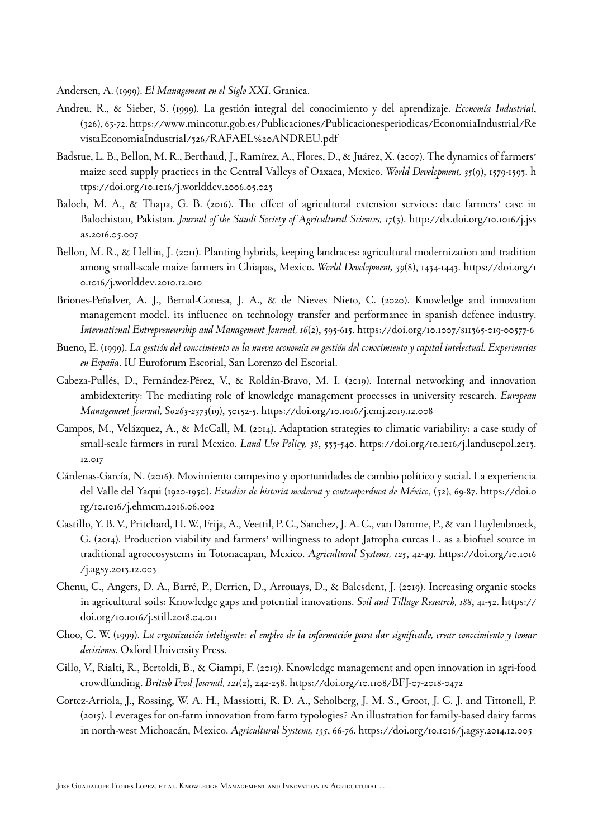<span id="page-16-10"></span>Andersen, A. (1999). *El Management en el Siglo XXI*. Granica.

- <span id="page-16-7"></span>Andreu, R., & Sieber, S. (1999). La gestión integral del conocimiento y del aprendizaje. *Economía Industrial*, (326), 63-72. [https://www.mincotur.gob.es/Publicaciones/Publicacionesperiodicas/EconomiaIndustrial/Re](https://www.mincotur.gob.es/Publicaciones/Publicacionesperiodicas/EconomiaIndustrial/RevistaEconomiaIndustrial/326/RAFAEL%20ANDREU.pdf) [vistaEconomiaIndustrial/326/RAFAEL%20ANDREU.pdf](https://www.mincotur.gob.es/Publicaciones/Publicacionesperiodicas/EconomiaIndustrial/RevistaEconomiaIndustrial/326/RAFAEL%20ANDREU.pdf)
- <span id="page-16-2"></span>Badstue, L. B., Bellon, M. R., Berthaud, J., Ramírez, A., Flores, D., & Juárez, X. (2007). The dynamics of farmers' maize seed supply practices in the Central Valleys of Oaxaca, Mexico. *World Development, 35*(9), 1579-1593. [h](https://doi.org/10.1016/j.worlddev.2006.05.023) [ttps://doi.org/10.1016/j.worlddev.2006.05.023](https://doi.org/10.1016/j.worlddev.2006.05.023)
- <span id="page-16-1"></span>Baloch, M. A., & Thapa, G. B. (2016). The effect of agricultural extension services: date farmers' case in Balochistan, Pakistan. *Journal of the Saudi Society of Agricultural Sciences, 17*(3). [http://dx.doi.org/10.1016/j.jss](http://dx.doi.org/10.1016/j.jssas.2016.05.007) [as.2016.05.007](http://dx.doi.org/10.1016/j.jssas.2016.05.007)
- <span id="page-16-3"></span>Bellon, M. R., & Hellin, J. (2011). Planting hybrids, keeping landraces: agricultural modernization and tradition among small-scale maize farmers in Chiapas, Mexico. *World Development, 39*(8), 1434-1443. [https://doi.org/1](https://doi.org/10.1016/j.worlddev.2010.12.010) [0.1016/j.worlddev.2010.12.010](https://doi.org/10.1016/j.worlddev.2010.12.010)
- <span id="page-16-11"></span>Briones-Peñalver, A. J., Bernal-Conesa, J. A., & de Nieves Nieto, C. (2020). Knowledge and innovation management model. its influence on technology transfer and performance in spanish defence industry. *International Entrepreneurship and Management Journal, 16*(2), 595-615. <https://doi.org/10.1007/s11365-019-00577-6>
- <span id="page-16-8"></span>Bueno, E. (1999). *La gestión del conocimiento en la nueva economía en gestión del conocimiento y capital intelectual. Experiencias en España*. IU Euroforum Escorial, San Lorenzo del Escorial.
- <span id="page-16-12"></span>Cabeza-Pullés, D., Fernández-Pérez, V., & Roldán-Bravo, M. I. (2019). Internal networking and innovation ambidexterity: The mediating role of knowledge management processes in university research. *European Management Journal, S0263-2373*(19), 30152-5.<https://doi.org/10.1016/j.emj.2019.12.008>
- <span id="page-16-6"></span>Campos, M., Velázquez, A., & McCall, M. (2014). Adaptation strategies to climatic variability: a case study of small-scale farmers in rural Mexico. *Land Use Policy, 38*, 533-540. [https://doi.org/10.1016/j.landusepol.2013.](https://doi.org/10.1016/j.landusepol.2013.12.017) [12.017](https://doi.org/10.1016/j.landusepol.2013.12.017)
- <span id="page-16-14"></span>Cárdenas-García, N. (2016). Movimiento campesino y oportunidades de cambio político y social. La experiencia del Valle del Yaqui (1920-1950). *Estudios de historia moderna y contemporánea de México*, (52), 69-87. [https://doi.o](https://doi.org/10.1016/j.ehmcm.2016.06.002) [rg/10.1016/j.ehmcm.2016.06.002](https://doi.org/10.1016/j.ehmcm.2016.06.002)
- <span id="page-16-4"></span>Castillo, Y. B. V., Pritchard, H. W., Frija, A., Veettil, P. C., Sanchez, J. A. C., van Damme, P., & van Huylenbroeck, G. (2014). Production viability and farmers' willingness to adopt Jatropha curcas L. as a biofuel source in traditional agroecosystems in Totonacapan, Mexico. *Agricultural Systems, 125*, 42-49. [https://doi.org/10.1016](https://doi.org/10.1016/j.agsy.2013.12.003) [/j.agsy.2013.12.003](https://doi.org/10.1016/j.agsy.2013.12.003)
- <span id="page-16-0"></span>Chenu, C., Angers, D. A., Barré, P., Derrien, D., Arrouays, D., & Balesdent, J. (2019). Increasing organic stocks in agricultural soils: Knowledge gaps and potential innovations. *Soil and Tillage Research, 188*, 41-52. [https://](https://doi.org/10.1016/j.still.2018.04.011) [doi.org/10.1016/j.still.2018.04.011](https://doi.org/10.1016/j.still.2018.04.011)
- <span id="page-16-9"></span>Choo, C. W. (1999). *La organización inteligente: el empleo de la información para dar significado, crear conocimiento y tomar decisiones*. Oxford University Press.
- <span id="page-16-13"></span>Cillo, V., Rialti, R., Bertoldi, B., & Ciampi, F. (2019). Knowledge management and open innovation in agri-food crowdfunding. *British Food Journal, 121*(2), 242-258. <https://doi.org/10.1108/BFJ-07-2018-0472>
- <span id="page-16-5"></span>Cortez-Arriola, J., Rossing, W. A. H., Massiotti, R. D. A., Scholberg, J. M. S., Groot, J. C. J. and Tittonell, P. (2015). Leverages for on-farm innovation from farm typologies? An illustration for family-based dairy farms in north-west Michoacán, Mexico. *Agricultural Systems, 135*, 66-76.<https://doi.org/10.1016/j.agsy.2014.12.005>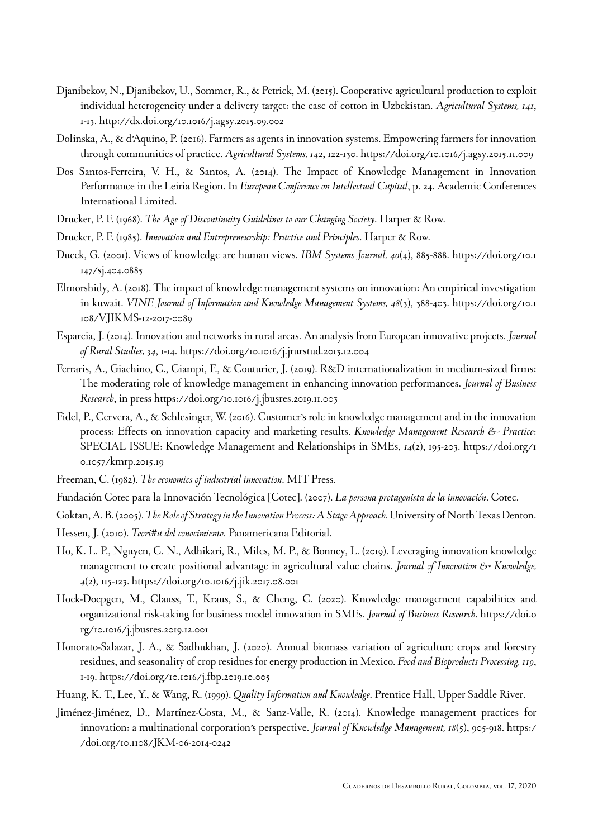- <span id="page-17-2"></span>Djanibekov, N., Djanibekov, U., Sommer, R., & Petrick, M. (2015). Cooperative agricultural production to exploit individual heterogeneity under a delivery target: the case of cotton in Uzbekistan. *Agricultural Systems, 141*, 1-13. <http://dx.doi.org/10.1016/j.agsy.2015.09.002>
- <span id="page-17-3"></span>Dolinska, A., & d'Aquino, P. (2016). Farmers as agents in innovation systems. Empowering farmers for innovation through communities of practice. *Agricultural Systems, 142*, 122-130.<https://doi.org/10.1016/j.agsy.2015.11.009>
- <span id="page-17-15"></span>Dos Santos-Ferreira, V. H., & Santos, A. (2014). The Impact of Knowledge Management in Innovation Performance in the Leiria Region. In *European Conference on Intellectual Capital*, p. 24. Academic Conferences International Limited.
- <span id="page-17-7"></span>Drucker, P. F. (1968). *The Age of Discontinuity Guidelines to our Changing Society*. Harper & Row.
- <span id="page-17-10"></span>Drucker, P. F. (1985). *Innovation and Entrepreneurship: Practice and Principles*. Harper & Row.
- <span id="page-17-6"></span>Dueck, G. (2001). Views of knowledge are human views. *IBM Systems Journal, 40*(4), 885-888. [https://doi.org/10.1](https://doi.org/10.1147/sj.404.0885) [147/sj.404.0885](https://doi.org/10.1147/sj.404.0885)
- <span id="page-17-17"></span>Elmorshidy, A. (2018). The impact of knowledge management systems on innovation: An empirical investigation in kuwait. *VINE Journal of Information and Knowledge Management Systems, 48*(3), 388-403. [https://doi.org/10.1](https://doi.org/10.1108/VJIKMS-12-2017-0089) [108/VJIKMS-12-2017-0089](https://doi.org/10.1108/VJIKMS-12-2017-0089)
- <span id="page-17-0"></span>Esparcia, J. (2014). Innovation and networks in rural areas. An analysis from European innovative projects. *Journal of Rural Studies, 34*, 1-14. <https://doi.org/10.1016/j.jrurstud.2013.12.004>
- <span id="page-17-13"></span>Ferraris, A., Giachino, C., Ciampi, F., & Couturier, J. (2019). R&D internationalization in medium-sized firms: The moderating role of knowledge management in enhancing innovation performances. *Journal of Business Research*, in press <https://doi.org/10.1016/j.jbusres.2019.11.003>
- <span id="page-17-12"></span>Fidel, P., Cervera, A., & Schlesinger, W. (2016). Customer's role in knowledge management and in the innovation process: Effects on innovation capacity and marketing results. *Knowledge Management Research & Practice*: SPECIAL ISSUE: Knowledge Management and Relationships in SMEs, *14*(2), 195-203. [https://doi.org/1](https://doi.org/10.1057/kmrp.2015.19) [0.1057/kmrp.2015.19](https://doi.org/10.1057/kmrp.2015.19)
- <span id="page-17-9"></span>Freeman, C. (1982). *The economics of industrial innovation*. MIT Press.
- <span id="page-17-11"></span>Fundación Cotec para la Innovación Tecnológica [Cotec]. (2007). *La persona protagonista de la innovación*. Cotec.
- <span id="page-17-18"></span>Goktan, A. B. (2005). *The Role of Strategy in the Innovation Process: A Stage Approach*. University of North Texas Denton.
- <span id="page-17-5"></span>Hessen, J. (2010). *Teori#a del conocimiento*. Panamericana Editorial.
- <span id="page-17-1"></span>Ho, K. L. P., Nguyen, C. N., Adhikari, R., Miles, M. P., & Bonney, L. (2019). Leveraging innovation knowledge management to create positional advantage in agricultural value chains. *Journal of Innovation & Knowledge*, *4*(2), 115-123.<https://doi.org/10.1016/j.jik.2017.08.001>
- <span id="page-17-14"></span>Hock-Doepgen, M., Clauss, T., Kraus, S., & Cheng, C. (2020). Knowledge management capabilities and organizational risk-taking for business model innovation in SMEs. *Journal of Business Research*. [https://doi.o](https://doi.org/10.1016/j.jbusres.2019.12.001) [rg/10.1016/j.jbusres.2019.12.001](https://doi.org/10.1016/j.jbusres.2019.12.001)
- <span id="page-17-4"></span>Honorato-Salazar, J. A., & Sadhukhan, J. (2020). Annual biomass variation of agriculture crops and forestry residues, and seasonality of crop residues for energy production in Mexico. *Food and Bioproducts Processing, 119*, 1-19.<https://doi.org/10.1016/j.fbp.2019.10.005>
- <span id="page-17-8"></span>Huang, K. T., Lee, Y., & Wang, R. (1999). *Quality Information and Knowledge*. Prentice Hall, Upper Saddle River.
- <span id="page-17-16"></span>Jiménez-Jiménez, D., Martínez-Costa, M., & Sanz-Valle, R. (2014). Knowledge management practices for innovation: a multinational corporation's perspective. *Journal of Knowledge Management, 18*(5), 905-918. [https:/](https://doi.org/10.1108/JKM-06-2014-0242) [/doi.org/10.1108/JKM-06-2014-0242](https://doi.org/10.1108/JKM-06-2014-0242)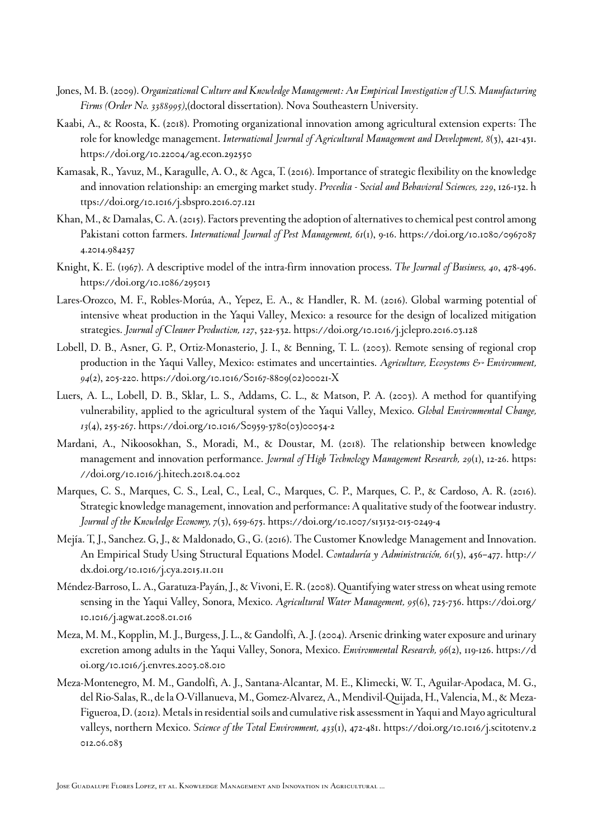- <span id="page-18-13"></span>Jones, M. B. (2009). *Organizational Culture and Knowledge Management: An Empirical Investigation of U.S. Manufacturing Firms (Order No. 3388995)*,(doctoral dissertation). Nova Southeastern University.
- <span id="page-18-12"></span>Kaabi, A., & Roosta, K. (2018). Promoting organizational innovation among agricultural extension experts: The role for knowledge management. *International Journal of Agricultural Management and Development, 8*(3), 421-431. <https://doi.org/10.22004/ag.econ.292550>
- <span id="page-18-0"></span>Kamasak, R., Yavuz, M., Karagulle, A. O., & Agca, T. (2016). Importance of strategic flexibility on the knowledge and innovation relationship: an emerging market study. *Procedia - Social and Behavioral Sciences, 229*, 126-132. [h](https://doi.org/10.1016/j.sbspro.2016.07.121) [ttps://doi.org/10.1016/j.sbspro.2016.07.121](https://doi.org/10.1016/j.sbspro.2016.07.121)
- <span id="page-18-1"></span>Khan, M., & Damalas, C. A. (2015). Factors preventing the adoption of alternatives to chemical pest control among Pakistani cotton farmers. *International Journal of Pest Management, 61*(1), 9-16. [https://doi.org/10.1080/0967087](https://doi.org/10.1080/09670874.2014.984257) [4.2014.984257](https://doi.org/10.1080/09670874.2014.984257)
- <span id="page-18-8"></span>Knight, K. E. (1967). A descriptive model of the intra-firm innovation process. *The Journal of Business, 40*, 478-496. <https://doi.org/10.1086/295013>
- <span id="page-18-6"></span>Lares-Orozco, M. F., Robles-Morúa, A., Yepez, E. A., & Handler, R. M. (2016). Global warming potential of intensive wheat production in the Yaqui Valley, Mexico: a resource for the design of localized mitigation strategies. *Journal of Cleaner Production, 127*, 522-532. <https://doi.org/10.1016/j.jclepro.2016.03.128>
- <span id="page-18-4"></span>Lobell, D. B., Asner, G. P., Ortiz-Monasterio, J. I., & Benning, T. L. (2003). Remote sensing of regional crop production in the Yaqui Valley, Mexico: estimates and uncertainties. *Agriculture, Ecosystems & Environment*, *94*(2), 205-220. [https://doi.org/10.1016/S0167-8809\(02\)00021-X](https://doi.org/10.1016/S0167-8809(02)00021-X)
- <span id="page-18-7"></span>Luers, A. L., Lobell, D. B., Sklar, L. S., Addams, C. L., & Matson, P. A. (2003). A method for quantifying vulnerability, applied to the agricultural system of the Yaqui Valley, Mexico. *Global Environmental Change, 13*(4), 255-267. [https://doi.org/10.1016/S0959-3780\(03\)00054-2](https://doi.org/10.1016/S0959-3780(03)00054-2)
- <span id="page-18-10"></span>Mardani, A., Nikoosokhan, S., Moradi, M., & Doustar, M. (2018). The relationship between knowledge management and innovation performance. *Journal of High Technology Management Research, 29*(1), 12-26. [https:](https://doi.org/10.1016/j.hitech.2018.04.002) [//doi.org/10.1016/j.hitech.2018.04.002](https://doi.org/10.1016/j.hitech.2018.04.002)
- <span id="page-18-11"></span>Marques, C. S., Marques, C. S., Leal, C., Leal, C., Marques, C. P., Marques, C. P., & Cardoso, A. R. (2016). Strategic knowledge management, innovation and performance: A qualitative study of the footwear industry. *Journal of the Knowledge Economy, 7*(3), 659-675.<https://doi.org/10.1007/s13132-015-0249-4>
- <span id="page-18-9"></span>Mejía. T, J., Sanchez. G, J., & Maldonado, G., G. (2016). The Customer Knowledge Management and Innovation. An Empirical Study Using Structural Equations Model. *Contaduría y Administración, 61*(3), 456–477. [http://](http://dx.doi.org/10.1016/j.cya.2015.11.011) [dx.doi.org/10.1016/j.cya.2015.11.011](http://dx.doi.org/10.1016/j.cya.2015.11.011)
- <span id="page-18-5"></span>Méndez-Barroso, L. A., Garatuza-Payán, J., & Vivoni, E. R. (2008). Quantifying water stress on wheat using remote sensing in the Yaqui Valley, Sonora, Mexico. *Agricultural Water Management, 95*(6), 725-736. [https://doi.org/](https://doi.org/10.1016/j.agwat.2008.01.016) [10.1016/j.agwat.2008.01.016](https://doi.org/10.1016/j.agwat.2008.01.016)
- <span id="page-18-2"></span>Meza, M. M., Kopplin, M. J., Burgess, J. L., & Gandolfi, A. J. (2004). Arsenic drinking water exposure and urinary excretion among adults in the Yaqui Valley, Sonora, Mexico. *Environmental Research, 96*(2), 119-126. [https://d](https://doi.org/10.1016/j.envres.2003.08.010) [oi.org/10.1016/j.envres.2003.08.010](https://doi.org/10.1016/j.envres.2003.08.010)
- <span id="page-18-3"></span>Meza-Montenegro, M. M., Gandolfi, A. J., Santana-Alcantar, M. E., Klimecki, W. T., Aguilar-Apodaca, M. G., del Rio-Salas, R., de la O-Villanueva, M., Gomez-Alvarez, A., Mendivil-Quijada, H., Valencia, M., & Meza-Figueroa, D. (2012). Metals in residential soils and cumulative risk assessment in Yaqui and Mayo agricultural valleys, northern Mexico. *Science of the Total Environment, 433*(1), 472-481. [https://doi.org/10.1016/j.scitotenv.2](https://doi.org/10.1016/j.scitotenv.2012.06.083) [012.06.083](https://doi.org/10.1016/j.scitotenv.2012.06.083)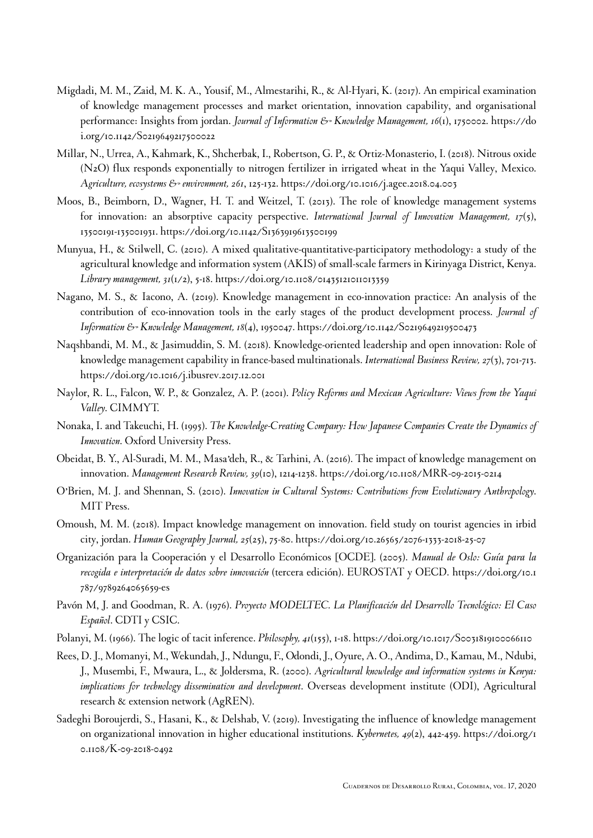- <span id="page-19-10"></span>Migdadi, M. M., Zaid, M. K. A., Yousif, M., Almestarihi, R., & Al-Hyari, K. (2017). An empirical examination of knowledge management processes and market orientation, innovation capability, and organisational performance: Insights from jordan. *Journal of Information & Knowledge Management*, 16(1), 1750002. [https://do](https://doi.org/10.1142/S0219649217500022) [i.org/10.1142/S0219649217500022](https://doi.org/10.1142/S0219649217500022)
- <span id="page-19-0"></span>Millar, N., Urrea, A., Kahmark, K., Shcherbak, I., Robertson, G. P., & Ortiz-Monasterio, I. (2018). Nitrous oxide (N2O) flux responds exponentially to nitrogen fertilizer in irrigated wheat in the Yaqui Valley, Mexico. *Agriculture, ecosystems & environment, 261*, 125-132.<https://doi.org/10.1016/j.agee.2018.04.003>
- <span id="page-19-15"></span>Moos, B., Beimborn, D., Wagner, H. T. and Weitzel, T. (2013). The role of knowledge management systems for innovation: an absorptive capacity perspective. *International Journal of Innovation Management, 17*(5), 13500191-135001931.<https://doi.org/10.1142/S1363919613500199>
- <span id="page-19-13"></span>Munyua, H., & Stilwell, C. (2010). A mixed qualitative-quantitative-participatory methodology: a study of the agricultural knowledge and information system (AKIS) of small-scale farmers in Kirinyaga District, Kenya. *Library management, 31*(1/2), 5-18.<https://doi.org/10.1108/01435121011013359>
- <span id="page-19-7"></span>Nagano, M. S., & Iacono, A. (2019). Knowledge management in eco-innovation practice: An analysis of the contribution of eco-innovation tools in the early stages of the product development process. *Journal of Information & Knowledge Management, 18*(4), 1950047. <https://doi.org/10.1142/S0219649219500473>
- <span id="page-19-6"></span>Naqshbandi, M. M., & Jasimuddin, S. M. (2018). Knowledge-oriented leadership and open innovation: Role of knowledge management capability in france-based multinationals. *International Business Review, 27*(3), 701-713. <https://doi.org/10.1016/j.ibusrev.2017.12.001>
- <span id="page-19-1"></span>Naylor, R. L., Falcon, W. P., & Gonzalez, A. P. (2001). *Policy Reforms and Mexican Agriculture: Views from the Yaqui Valley*. CIMMYT.
- <span id="page-19-3"></span>Nonaka, I. and Takeuchi, H. (1995). *The Knowledge-Creating Company: How Japanese Companies Create the Dynamics of Innovation*. Oxford University Press.
- <span id="page-19-8"></span>Obeidat, B. Y., Al-Suradi, M. M., Masa'deh, R., & Tarhini, A. (2016). The impact of knowledge management on innovation. *Management Research Review, 39*(10), 1214-1238.<https://doi.org/10.1108/MRR-09-2015-0214>
- <span id="page-19-5"></span>O'Brien, M. J. and Shennan, S. (2010). *Innovation in Cultural Systems: Contributions from Evolutionary Anthropology*. MIT Press.
- <span id="page-19-11"></span>Omoush, M. M. (2018). Impact knowledge management on innovation. field study on tourist agencies in irbid city, jordan. *Human Geography Journal, 25*(25), 75-80. <https://doi.org/10.26565/2076-1333-2018-25-07>
- <span id="page-19-12"></span>Organización para la Cooperación y el Desarrollo Económicos [OCDE]. (2005). *Manual de Oslo: Guía para la recogida e interpretación de datos sobre innovación* (tercera edición). EUROSTAT y OECD. [https://doi.org/10.1](https://doi.org/10.1787/9789264065659-es) [787/9789264065659-es](https://doi.org/10.1787/9789264065659-es)
- <span id="page-19-4"></span>Pavón M, J. and Goodman, R. A. (1976). *Proyecto MODELTEC. La Planificación del Desarrollo Tecnológico: El Caso Español*. CDTI y CSIC.
- <span id="page-19-2"></span>Polanyi, M. (1966). The logic of tacit inference. *Philosophy, 41*(155), 1-18. <https://doi.org/10.1017/S0031819100066110>
- <span id="page-19-14"></span>Rees, D. J., Momanyi, M., Wekundah, J., Ndungu, F., Odondi, J., Oyure, A. O., Andima, D., Kamau, M., Ndubi, J., Musembi, F., Mwaura, L., & Joldersma, R. (2000). *Agricultural knowledge and information systems in Kenya: implications for technology dissemination and development*. Overseas development institute (ODI), Agricultural research & extension network (AgREN).
- <span id="page-19-9"></span>Sadeghi Boroujerdi, S., Hasani, K., & Delshab, V. (2019). Investigating the influence of knowledge management on organizational innovation in higher educational institutions. *Kybernetes, 49*(2), 442-459. [https://doi.org/1](https://doi.org/10.1108/K-09-2018-0492) [0.1108/K-09-2018-0492](https://doi.org/10.1108/K-09-2018-0492)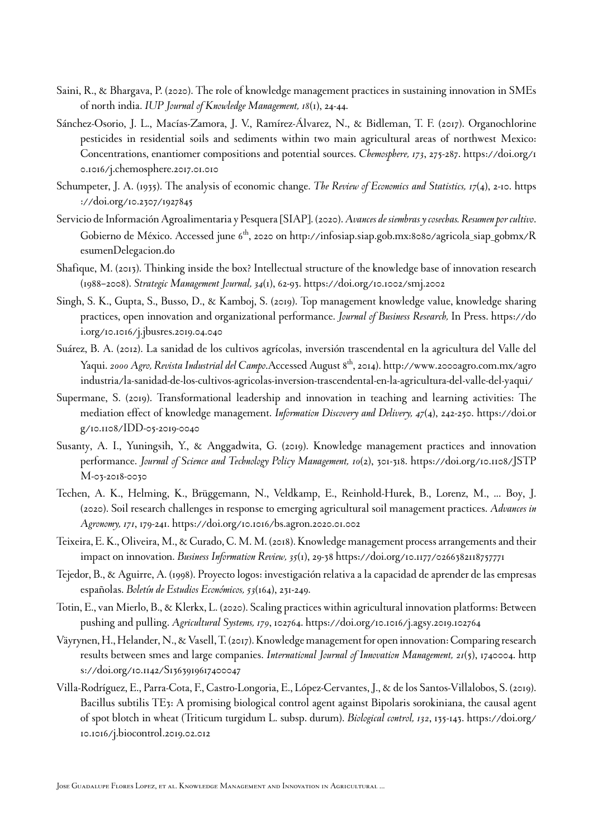- <span id="page-20-11"></span>Saini, R., & Bhargava, P. (2020). The role of knowledge management practices in sustaining innovation in SMEs of north india. *IUP Journal of Knowledge Management, 18*(1), 24-44.
- <span id="page-20-3"></span>Sánchez-Osorio, J. L., Macías-Zamora, J. V., Ramírez-Álvarez, N., & Bidleman, T. F. (2017). Organochlorine pesticides in residential soils and sediments within two main agricultural areas of northwest Mexico: Concentrations, enantiomer compositions and potential sources. *Chemosphere, 173*, 275-287. [https://doi.org/1](https://doi.org/10.1016/j.chemosphere.2017.01.010) [0.1016/j.chemosphere.2017.01.010](https://doi.org/10.1016/j.chemosphere.2017.01.010)
- <span id="page-20-8"></span>Schumpeter, J. A. (1935). The analysis of economic change. *The Review of Economics and Statistics, 17*(4), 2-10. [https](https://doi.org/10.2307/1927845) [://doi.org/10.2307/1927845](https://doi.org/10.2307/1927845)
- <span id="page-20-6"></span>Servicio de Información Agroalimentaria y Pesquera [SIAP]. (2020). *Avances de siembras y cosechas. Resumen por cultivo*. Gobierno de México. Accessed june  $6<sup>th</sup>$ , 2020 on [http://infosiap.siap.gob.mx:8080/agricola\\_siap\\_gobmx/R](http://infosiap.siap.gob.mx:8080/agricola_siap_gobmx/ResumenDelegacion.do) [esumenDelegacion.do](http://infosiap.siap.gob.mx:8080/agricola_siap_gobmx/ResumenDelegacion.do)
- <span id="page-20-0"></span>Shafique, M. (2013). Thinking inside the box? Intellectual structure of the knowledge base of innovation research (1988–2008). *Strategic Management Journal, 34*(1), 62-93.<https://doi.org/10.1002/smj.2002>
- <span id="page-20-12"></span>Singh, S. K., Gupta, S., Busso, D., & Kamboj, S. (2019). Top management knowledge value, knowledge sharing practices, open innovation and organizational performance. *Journal of Business Research,* In Press. [https://do](https://doi.org/10.1016/j.jbusres.2019.04.040) [i.org/10.1016/j.jbusres.2019.04.040](https://doi.org/10.1016/j.jbusres.2019.04.040)
- <span id="page-20-5"></span>Suárez, B. A. (2012). La sanidad de los cultivos agrícolas, inversión trascendental en la agricultura del Valle del Yaqui. *2000 Agro, Revista Industrial del Campo*.Accessed August 8th, 2014). [http://www.2000agro.com.mx/agro](http://www.2000agro.com.mx/agroindustria/la-sanidad-de-los-cultivos-agricolas-inversion-trascendental-en-la-agricultura-del-valle-del-yaqui) [industria/la-sanidad-de-los-cultivos-agricolas-inversion-trascendental-en-la-agricultura-del-valle-del-yaqui](http://www.2000agro.com.mx/agroindustria/la-sanidad-de-los-cultivos-agricolas-inversion-trascendental-en-la-agricultura-del-valle-del-yaqui)/
- <span id="page-20-9"></span>Supermane, S. (2019). Transformational leadership and innovation in teaching and learning activities: The mediation effect of knowledge management. *Information Discovery and Delivery, 47*(4), 242-250. [https://doi.or](https://doi.org/10.1108/IDD-05-2019-0040) [g/10.1108/IDD-05-2019-0040](https://doi.org/10.1108/IDD-05-2019-0040)
- <span id="page-20-13"></span>Susanty, A. I., Yuningsih, Y., & Anggadwita, G. (2019). Knowledge management practices and innovation performance. *Journal of Science and Technology Policy Management, 10*(2), 301-318. [https://doi.org/10.1108/JSTP](https://doi.org/10.1108/JSTPM-03-2018-0030) [M-03-2018-0030](https://doi.org/10.1108/JSTPM-03-2018-0030)
- <span id="page-20-2"></span>Techen, A. K., Helming, K., Brüggemann, N., Veldkamp, E., Reinhold-Hurek, B., Lorenz, M., ... Boy, J. (2020). Soil research challenges in response to emerging agricultural soil management practices. *Advances in Agronomy, 171*, 179-241. <https://doi.org/10.1016/bs.agron.2020.01.002>
- <span id="page-20-14"></span>Teixeira, E. K., Oliveira, M., & Curado, C. M. M. (2018). Knowledge management process arrangements and their impact on innovation. *Business Information Review, 35*(1), 29-38<https://doi.org/10.1177/0266382118757771>
- <span id="page-20-7"></span>Tejedor, B., & Aguirre, A. (1998). Proyecto logos: investigación relativa a la capacidad de aprender de las empresas españolas. *Boletín de Estudios Económicos, 53*(164), 231-249.
- <span id="page-20-1"></span>Totin, E., van Mierlo, B., & Klerkx, L. (2020). Scaling practices within agricultural innovation platforms: Between pushing and pulling. *Agricultural Systems, 179*, 102764. <https://doi.org/10.1016/j.agsy.2019.102764>
- <span id="page-20-10"></span>Väyrynen, H., Helander, N., & Vasell, T. (2017). Knowledge management for open innovation: Comparing research results between smes and large companies. *International Journal of Innovation Management, 21*(5), 1740004. [http](https://doi.org/10.1142/S1363919617400047) [s://doi.org/10.1142/S1363919617400047](https://doi.org/10.1142/S1363919617400047)
- <span id="page-20-4"></span>Villa-Rodríguez, E., Parra-Cota, F., Castro-Longoria, E., López-Cervantes, J., & de los Santos-Villalobos, S. (2019). Bacillus subtilis TE3: A promising biological control agent against Bipolaris sorokiniana, the causal agent of spot blotch in wheat (Triticum turgidum L. subsp. durum). *Biological control, 132*, 135-143. [https://doi.org/](https://doi.org/10.1016/j.biocontrol.2019.02.012) [10.1016/j.biocontrol.2019.02.012](https://doi.org/10.1016/j.biocontrol.2019.02.012)